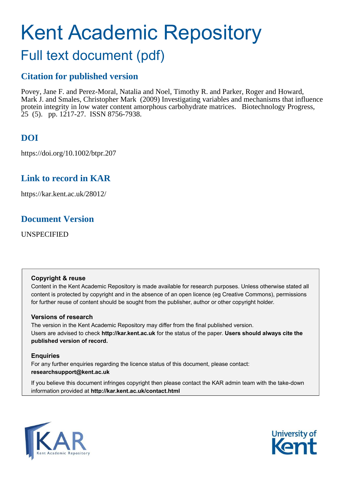# Kent Academic Repository

# Full text document (pdf)

# **Citation for published version**

Povey, Jane F. and Perez-Moral, Natalia and Noel, Timothy R. and Parker, Roger and Howard, Mark J. and Smales, Christopher Mark (2009) Investigating variables and mechanisms that influence protein integrity in low water content amorphous carbohydrate matrices. Biotechnology Progress, 25 (5). pp. 1217-27. ISSN 8756-7938.

# **DOI**

https://doi.org/10.1002/btpr.207

# **Link to record in KAR**

https://kar.kent.ac.uk/28012/

# **Document Version**

UNSPECIFIED

## **Copyright & reuse**

Content in the Kent Academic Repository is made available for research purposes. Unless otherwise stated all content is protected by copyright and in the absence of an open licence (eg Creative Commons), permissions for further reuse of content should be sought from the publisher, author or other copyright holder.

## **Versions of research**

The version in the Kent Academic Repository may differ from the final published version. Users are advised to check **http://kar.kent.ac.uk** for the status of the paper. **Users should always cite the published version of record.**

## **Enquiries**

For any further enquiries regarding the licence status of this document, please contact: **researchsupport@kent.ac.uk**

If you believe this document infringes copyright then please contact the KAR admin team with the take-down information provided at **http://kar.kent.ac.uk/contact.html**



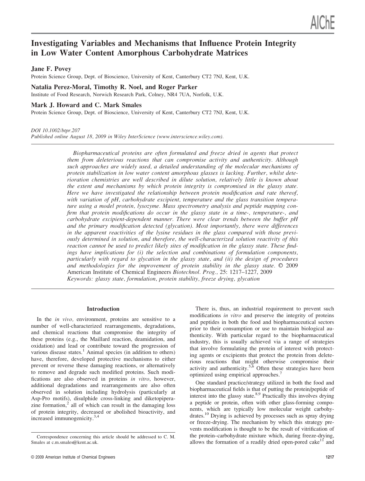## Investigating Variables and Mechanisms that Influence Protein Integrity in Low Water Content Amorphous Carbohydrate Matrices

Jane F. Povey

Protein Science Group, Dept. of Bioscience, University of Kent, Canterbury CT2 7NJ, Kent, U.K.

#### Natalia Perez-Moral, Timothy R. Noel, and Roger Parker

Institute of Food Research, Norwich Research Park, Colney, NR4 7UA, Norfolk, U.K.

#### Mark J. Howard and C. Mark Smales

Protein Science Group, Dept. of Bioscience, University of Kent, Canterbury CT2 7NJ, Kent, U.K.

*DOI 10.1002/btpr.207*

*Published online August 18, 2009 in Wiley InterScience (www.interscience.wiley.com).*

*Biopharmaceutical proteins are often formulated and freeze dried in agents that protect them from deleterious reactions that can compromise activity and authenticity. Although such approaches are widely used, a detailed understanding of the molecular mechanisms of protein stabilization in low water content amorphous glasses is lacking. Further, whilst deterioration chemistries are well described in dilute solution, relatively little is known about the extent and mechanisms by which protein integrity is compromised in the glassy state. Here we have investigated the relationship between protein modification and rate thereof, with variation of pH, carbohydrate excipient, temperature and the glass transition temperature using a model protein, lysozyme. Mass spectrometry analysis and peptide mapping confirm that protein modifications do occur in the glassy state in a time-, temperature-, and carbohydrate excipient-dependent manner. There were clear trends between the buffer pH and the primary modification detected (glycation). Most importantly, there were differences in the apparent reactivities of the lysine residues in the glass compared with those previously determined in solution, and therefore, the well-characterized solution reactivity of this reaction cannot be used to predict likely sites of modification in the glassy state. These findings have implications for (i) the selection and combinations of formulation components, particularly with regard to glycation in the glassy state, and (ii) the design of procedures* and methodologies for the improvement of protein stability in the glassy state.  $\heartsuit$  2009 American Institute of Chemical Engineers *Biotechnol. Prog.,* 25: 1217–1227, 2009 *Keywords: glassy state, formulation, protein stability, freeze drying, glycation*

#### Introduction

In the *in vivo,* environment, proteins are sensitive to a number of well-characterized rearrangements, degradations, and chemical reactions that compromise the integrity of these proteins (e.g., the Maillard reaction, deamidation, and oxidation) and lead or contribute toward the progression of various disease states.<sup>1</sup> Animal species (in addition to others) have, therefore, developed protective mechanisms to either prevent or reverse these damaging reactions, or alternatively to remove and degrade such modified proteins. Such modifications are also observed in proteins *in vitro*, however, additional degradations and rearrangements are also often observed in solution including hydrolysis (particularly at Asp-Pro motifs), disulphide cross-linking and diketopiperazine formation, $2$  all of which can result in the damaging loss of protein integrity, decreased or abolished bioactivity, and increased immunogenicity.<sup>3,4</sup>

There is, thus, an industrial requirement to prevent such modifications *in vitro* and preserve the integrity of proteins and peptides in both the food and biopharmaceutical sectors prior to their consumption or use to maintain biological authenticity. With particular regard to the biopharmaceutical industry, this is usually achieved via a range of strategies that involve formulating the protein of interest with protecting agents or excipients that protect the protein from deleterious reactions that might otherwise compromise their activity and authenticity.<sup>5,6</sup> Often these strategies have been optimized using empirical approaches.<sup>7</sup>

One standard practice/strategy utilized in both the food and biopharmaceutical fields is that of putting the protein/peptide of interest into the glassy state.<sup>8,9</sup> Practically this involves drying a peptide or protein, often with other glass-forming components, which are typically low molecular weight carbohydrates.<sup>10</sup> Drying is achieved by processes such as spray drying or freeze-drying. The mechanism by which this strategy prevents modification is thought to be the result of vitrification of the protein–carbohydrate mixture which, during freeze-drying, allows the formation of a readily dried open-pored cake<sup>11</sup> and

Correspondence concerning this article should be addressed to C. M. Smales at c.m.smales@kent.ac.uk.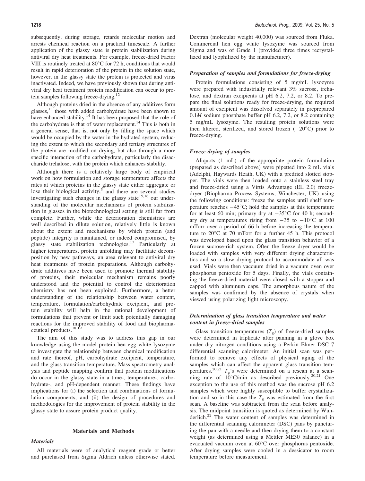subsequently, during storage, retards molecular motion and arrests chemical reaction on a practical timescale. A further application of the glassy state is protein stabilization during antiviral dry heat treatments. For example, freeze-dried Factor VIII is routinely treated at  $80^{\circ}$ C for 72 h, conditions that would result in rapid deterioration of the protein in the solution state, however, in the glassy state the protein is protected and virus inactivated. Indeed, we have previously shown that during antiviral dry heat treatment protein modification can occur to protein samples following freeze-drying.<sup>12</sup>

Although proteins dried in the absence of any additives form glasses, $13$  those with added carbohydrate have been shown to have enhanced stability.<sup>14</sup> It has been proposed that the role of the carbohydrate is that of water replacement.<sup>14</sup> This is both in a general sense, that is, not only by filling the space which would be occupied by the water in the hydrated system, reducing the extent to which the secondary and tertiary structures of the protein are modified on drying, but also through a more specific interaction of the carbohydrate, particularly the disaccharide trehalose, with the protein which enhances stability.

Although there is a relatively large body of empirical work on how formulation and storage temperature affects the rates at which proteins in the glassy state either aggregate or lose their biological activity,<sup>5</sup> and there are several studies investigating such changes in the glassy state<sup>15,16</sup> our understanding of the molecular mechanisms of protein stabilization in glasses in the biotechnological setting is still far from complete. Further, while the deterioration chemistries are well described in dilute solution, relatively little is known about the extent and mechanisms by which protein (and peptide) integrity is maintained, or indeed compromised, by glassy state stabilization technologies.<sup>17</sup> Particularly at higher temperatures, protein unfolding may facilitate decomposition by new pathways, an area relevant to antiviral dry heat treatments of protein preparations. Although carbohydrate additives have been used to promote thermal stability of proteins, their molecular mechanism remains poorly understood and the potential to control the deterioration chemistry has not been exploited. Furthermore, a better understanding of the relationship between water content, temperature, formulation/carbohydrate excipient, and protein stability will help in the rational development of formulations that prevent or limit such potentially damaging reactions for the improved stability of food and biopharmaceutical products.<sup>18,19</sup>

The aim of this study was to address this gap in our knowledge using the model protein hen egg white lysozyme to investigate the relationship between chemical modification and rate thereof, pH, carbohydrate excipient, temperature, and the glass transition temperature. Mass spectrometry analysis and peptide mapping confirm that protein modifications do occur in the glassy state in a time-, temperature-, carbohydrate-, and pH-dependent manner. These findings have implications for (i) the selection and combinations of formulation components, and (ii) the design of procedures and methodologies for the improvement of protein stability in the glassy state to assure protein product quality.

#### Materials and Methods

#### **Materials**

Dextran (molecular weight 40,000) was sourced from Fluka. Commercial hen egg white lysozyme was sourced from Sigma and was of Grade 1 (provided three times recrystallized and lyophilized by the manufacturer).

#### Preparation of samples and formulations for freeze-drying

Protein formulations consisting of 5 mg/mL lysozyme were prepared with industrially relevant 3% sucrose, trehalose, and dextran excipients at pH 6.2, 7.2, or 8.2. To prepare the final solutions ready for freeze-drying, the required amount of excipient was dissolved separately in preprepared 0.1*M* sodium phosphate buffer pH 6.2, 7.2, or 8.2 containing 5 mg/mL lysozyme. The resulting protein solutions were then filtered, sterilized, and stored frozen  $(-20^{\circ}C)$  prior to freeze-drying.

#### Freeze-drying of samples

Aliquots (1 mL) of the appropriate protein formulation (prepared as described above) were pipetted into 2 mL vials (Adelphi, Haywards Heath, UK) with a predried slotted stopper. The vials were then loaded onto a stainless steel tray and freeze-dried using a Virtis Advantage (EL 2.0) freezedryer (Biopharma Process Systems, Winchester, UK) using the following conditions: freeze the samples until shelf temperature reaches  $-45^{\circ}$ C; hold the samples at this temperature for at least 60 min; primary dry at  $-35^{\circ}$ C for 40 h; secondary dry at temperatures rising from  $-35$  to  $-10^{\circ}$ C at 100 mTorr over a period of 66 h before increasing the temperature to 20°C at 70 mTorr for a further 45 h. This protocol was developed based upon the glass transition behavior of a frozen sucrose-rich system. Often the freeze dryer would be loaded with samples with very different drying characteristics and so a slow drying protocol to accommodate all was used. Vials were then vaccuum dried in a vacuum oven over phosphorus pentoxide for 5 days. Finally, the vials containing the freeze-dried material were closed with a stopper and capped with aluminum caps. The amorphous nature of the samples was confirmed by the absence of crystals when viewed using polarizing light microscopy.

#### Determination of glass transition temperature and water content in freeze-dried samples

Glass transition temperatures  $(T_g)$  of freeze-dried samples were determined in triplicate after panning in a glove box under dry nitrogen conditions using a Perkin Elmer DSC 7 differential scanning calorimeter. An initial scan was performed to remove any effects of physical aging of the samples which can affect the apparent glass transition temperatures.<sup>20,21</sup>  $T_g$ 's were determined on a rescan at a scanning rate of  $10^{\circ}$ C/min as described previously.<sup>20,21</sup> One exception to the use of this method was the sucrose pH 6.2 samples which were highly susceptible to buffer crystallization and so in this case the  $T_g$  was estimated from the first scan. A baseline was subtracted from the scan before analysis. The midpoint transition is quoted as determined by Wunderlich.<sup>22</sup> The water content of samples was determined in the differential scanning calorimeter (DSC) pans by puncturing the pan with a needle and then drying them to a constant weight (as determined using a Mettler ME30 balance) in a evacuated vacuum oven at  $60^{\circ}$ C over phosphorus pentoxide. After drying samples were cooled in a dessicator to room temperature before measurement.

All materials were of analytical reagent grade or better and purchased from Sigma Aldrich unless otherwise stated.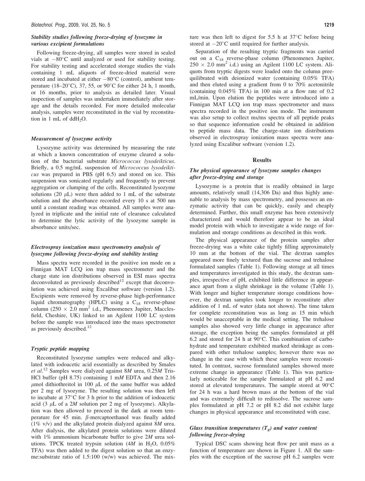#### Stability studies following freeze-drying of lysozyme in various excipient formulations

Following freeze-drying, all samples were stored in sealed vials at  $-80^{\circ}$ C until analyzed or used for stability testing. For stability testing and accelerated storage studies the vials containing 1 mL aliquots of freeze-dried material were stored and incubated at either  $-80^{\circ}$ C (control), ambient temperature (18–20 $^{\circ}$ C), 37, 55, or 90 $^{\circ}$ C for either 24 h, 1 month, or 16 months, prior to analysis as detailed later. Visual inspection of samples was undertaken immediately after storage and the details recorded. For more detailed molecular analysis, samples were reconstituted in the vial by reconstitution in 1 mL of  $ddH<sub>2</sub>O$ .

#### Measurement of lysozyme activity

Lysozyme activity was determined by measuring the rate at which a known concentration of enzyme cleared a solution of the bacterial substrate *Micrococcus lysodeikticus*. Briefly, a 0.5 mg/mL suspension of *Micrococcus lysodeikticus* was prepared in PBS (pH 6.5) and stored on ice. This suspension was sonicated regularly and frequently to prevent aggregation or clumping of the cells. Reconstituted lysozyme solutions (20  $\mu$ L) were then added to 1 mL of the substrate solution and the absorbance recorded every 10 s at 500 nm until a constant reading was obtained. All samples were analyzed in triplicate and the initial rate of clearance calculated to determine the lytic activity of the lysozyme sample in absorbance units/sec.

#### Electrospray ionization mass spectrometry analysis of lysozyme following freeze-drying and stability testing

Mass spectra were recorded in the positive ion mode on a Finnigan MAT LCQ ion trap mass spectrometer and the charge state ion distributions observed in ESI mass spectra deconvoluted as previously described $12$  except that deconvolution was achieved using Excalibur software (version 1.2). Excipients were removed by reverse-phase high-performance liquid chromatography (HPLC) using a  $C_{18}$  reverse-phase column (250  $\times$  2.0 mm<sup>2</sup> i.d., Phenomenex Jupiter, Macclesfield, Cheshire, UK) linked to an Agilent 1100 LC system before the sample was introduced into the mass spectrometer as previously described. $12$ 

#### Tryptic peptide mapping

Reconstituted lysozyme samples were reduced and alkylated with iodoacetic acid essentially as described by Smales *et al*. <sup>12</sup> Samples were dialyzed against 8*M* urea, 0.25*M* Tris-HCl buffer (pH 8.75) containing 1 m*M* EDTA and then 2.16  $\mu$ mol dithiothreitol in 100  $\mu$ L of the same buffer was added per 2 mg of lysozyme. The resulting solution was then left to incubate at  $37^{\circ}$ C for 3 h prior to the addition of iodoacetic acid (3  $\mu$ L of a 2*M* solution per 2 mg of lysozyme). Alkylation was then allowed to proceed in the dark at room temperature for 45 min.  $\beta$ -mercaptoethanol was finally added (1% v/v) and the alkylated protein dialyzed against 8*M* urea. After dialysis, the alkylated protein solutions were diluted with 1% ammonium bicarbonate buffer to give 2*M* urea solutions. TPCK treated trypsin solution  $(4M \text{ in } H_2O, 0.05\%)$ TFA) was then added to the digest solution so that an enzyme:substrate ratio of 1.5:100 (w/w) was achieved. The mixture was then left to digest for  $5.5$  h at  $37^{\circ}$ C before being stored at  $-20^{\circ}$ C until required for further analysis.

Separation of the resulting tryptic fragments was carried out on a C<sup>18</sup> reverse-phase column (Phenomenex Jupiter,  $250 \times 2.0$  mm<sup>2</sup> i.d.) using an Agilent 1100 LC system. Aliquots from tryptic digests were loaded onto the column preequilibrated with deionized water (containing 0.05% TFA) and then eluted using a gradient from 0 to 70% acetonitrile (containing 0.045% TFA) in 100 min at a flow rate of 0.2 mL/min. Upon elution the peptides were introduced into a Finnigan MAT LCQ ion trap mass spectrometer and mass spectra recorded in the positive ion mode. The instrument was also setup to collect ms/ms spectra of all peptide peaks so that sequence information could be obtained in addition to peptide mass data. The charge-state ion distributions observed in electrospray ionization mass spectra were analyzed using Excalibur software (version 1.2).

#### **Results**

#### The physical appearance of lysozyme samples changes after freeze-drying and storage

Lysozyme is a protein that is readily obtained in large amounts, relatively small (14,306 Da) and thus highly amenable to analysis by mass spectrometry, and possesses an enzymatic activity that can be quickly, easily and cheaply determined. Further, this small enzyme has been extensively characterized and would therefore appear to be an ideal model protein with which to investigate a wide range of formulation and storage conditions as described in this work.

The physical appearance of the protein samples after freeze-drying was a white cake tightly filling approximately 10 mm at the bottom of the vial. The dextran samples appeared more finely textured than the sucrose and trehalose formulated samples (Table 1). Following storage at all times and temperatures investigated in this study, the dextran samples, irrespective of pH, exhibited little difference in appearance apart from a slight shrinkage in the volume (Table 1). With longer and higher temperature storage conditions however, the dextran samples took longer to reconstitute after addition of 1 mL of water (data not shown). The time taken for complete reconstitution was as long as 15 min which would be unacceptable in the medical setting. The trehalose samples also showed very little change in appearance after storage, the exception being the samples formulated at pH 6.2 and stored for 24 h at  $90^{\circ}$ C. This combination of carbohydrate and temperature exhibited marked shrinkage as compared with other trehalose samples; however there was no change in the ease with which these samples were reconstituted. In contrast, sucrose formulated samples showed more extreme change in appearance (Table 1). This was particularly noticeable for the sample formulated at pH 6.2 and stored at elevated temperatures. The sample stored at  $90^{\circ}$ C for 24 h was a hard brown mass at the bottom of the vial and was extremely difficult to redissolve. The sucrose samples formulated at pH 7.2 or pH 8.2 did not exhibit large changes in physical appearance and reconstituted with ease.

#### Glass transition temperatures (T<sub>g</sub>) and water content following freeze-drying

Typical DSC scans showing heat flow per unit mass as a function of temperature are shown in Figure 1. All the samples with the exception of the sucrose pH 6.2 samples were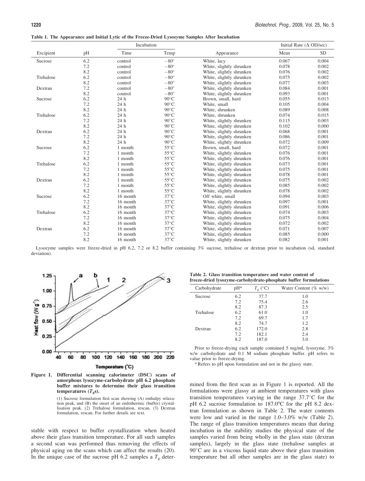#### Table 1. The Appearance and Initial Lytic of the Freeze-Dried Lysozyme Samples After Incubation

|           |     | Incubation |                |                          | Initial Rate ( $\Delta$ OD/sec) |           |  |
|-----------|-----|------------|----------------|--------------------------|---------------------------------|-----------|--|
| Excipient | pH  | Time       | Temp           | Appearance               | Mean                            | <b>SD</b> |  |
| Sucrose   | 6.2 | control    | $-80^\circ$    | White, lacy              | 0.067                           | 0.004     |  |
|           | 7.2 | control    | $-80^\circ$    | White, slightly shrunken | 0.078                           | 0.002     |  |
|           | 8.2 | control    | $-80^\circ$    | White, slightly shrunken | 0.076                           | 0.002     |  |
| Trehalose | 6.2 | control    | $-80^\circ$    | White, slightly shrunken | 0.075                           | 0.002     |  |
|           | 8.2 | control    | $-80^\circ$    | White, slightly shrunken | 0.077                           | 0.003     |  |
| Dextran   | 7.2 | control    | $-80^\circ$    | White, slightly shrunken | 0.084                           | 0.001     |  |
|           | 8.2 | control    | $-80^\circ$    | White, slightly shrunken | 0.093                           | 0.001     |  |
| Sucrose   | 6.2 | 24 h       | $90^{\circ}$ C | Brown, small, hard       | 0.055                           | 0.013     |  |
|           | 7.2 | 24 h       | $90^{\circ}$ C | White, small             | 0.105                           | 0.004     |  |
|           | 8.2 | 24 h       | $90^{\circ}$ C | White, shrunken          | 0.089                           | 0.008     |  |
| Trehalose | 6.2 | 24 h       | $90^{\circ}$ C | White, shrunken          | 0.074                           | 0.015     |  |
|           | 7.2 | 24 h       | $90^{\circ}$ C | White, slightly shrunken | 0.115                           | 0.003     |  |
|           | 8.2 | 24 h       | $90^{\circ}$ C | White, slightly shrunken | 0.102                           | 0.000     |  |
| Dextran   | 6.2 | 24 h       | $90^{\circ}$ C | White, slightly shrunken | 0.068                           | 0.001     |  |
|           | 7.2 | 24 h       | $90^{\circ}$ C | White, slightly shrunken | 0.086                           | 0.001     |  |
|           | 8.2 | 24 h       | $90^{\circ}$ C | White, slightly shrunken | 0.072                           | 0.009     |  |
| Sucrose   | 6.2 | 1 month    | $55^{\circ}$ C | Brown, small, hard       | 0.072                           | 0.001     |  |
|           | 7.2 | 1 month    | $55^{\circ}$ C | White, slightly shrunken | 0.076                           | 0.001     |  |
|           | 8.2 | 1 month    | $55^{\circ}$ C | White, slightly shrunken | 0.076                           | 0.001     |  |
| Trehalose | 6.2 | 1 month    | $55^{\circ}$ C | White, slightly shrunken | 0.073                           | 0.001     |  |
|           | 7.2 | 1 month    | $55^{\circ}$ C | White, slightly shrunken | 0.075                           | 0.001     |  |
|           | 8.2 | 1 month    | $55^{\circ}$ C | White, slightly shrunken | 0.078                           | 0.001     |  |
| Dextran   | 6.2 | 1 month    | $55^{\circ}$ C | White, slightly shrunken | 0.075                           | 0.002     |  |
|           | 7.2 | 1 month    | $55^{\circ}$ C | White, slightly shrunken | 0.085                           | 0.002     |  |
|           | 8.2 | 1 month    | $55^{\circ}$ C | White, slightly shrunken | 0.078                           | 0.002     |  |
| Sucrose   | 6.2 | 16 month   | $37^{\circ}$ C | Off white, small         | 0.094                           | 0.003     |  |
|           | 7.2 | 16 month   | $37^{\circ}$ C | White, slightly shrunken | 0.097                           | 0.001     |  |
|           | 8.2 | 16 month   | $37^{\circ}$ C | White, slightly shrunken | 0.091                           | 0.006     |  |
| Trehalose | 6.2 | 16 month   | $37^{\circ}$ C | White, slightly shrunken | 0.074                           | 0.003     |  |
|           | 7.2 | 16 month   | $37^{\circ}$ C | White, slightly shrunken | 0.075                           | 0.004     |  |
|           | 8.2 | 16 month   | $37^{\circ}$ C | White, slightly shrunken | 0.072                           | 0.002     |  |
| Dextran   | 6.2 | 16 month   | $37^{\circ}$ C | White, slightly shrunken | 0.071                           | 0.007     |  |
|           | 7.2 | 16 month   | $37^{\circ}$ C | White, slightly shrunken | 0.085                           | 0.000     |  |
|           | 8.2 | 16 month   | $37^{\circ}$ C | White, slightly shrunken | 0.082                           | 0.001     |  |

Lysozyme samples were freeze-dried in pH 6.2, 7.2 or 8.2 buffer containing 3% sucrose, trehalose or dextran prior to incubation (sd, standard deviation).



|  | Figure 1. Differential scanning calorimeter (DSC) scans of |
|--|------------------------------------------------------------|
|  | amorphous lysozyme-carbohydrate pH 6.2 phosphate           |
|  | buffer mixtures to determine their glass transition        |
|  | temperatures $(T_{\sigma}S)$ .                             |

(1) Sucrose formulation first scan showing (A) enthalpy relaxation peak, and (B) the onset of an endothermic (buffer) crystallisation peak. (2) Trehalose formulation, rescan. (3) Dextran formulation, rescan. For further details see text.

stable with respect to buffer crystallization when heated above their glass transition temperature. For all such samples a second scan was performed thus removing the effects of physical aging on the scans which can affect the results (20). In the unique case of the sucrose pH 6.2 samples a  $T_g$  deter-

Table 2. Glass transition temperature and water content of freeze-dried lysozyme-carbohydrate-phosphate buffer formulations

| Carbohydrate | $pH*$ | $T_{\rm g}$ (°C) | Water Content $(\% w/w)$ |
|--------------|-------|------------------|--------------------------|
| Sucrose      | 6.2   | 37.7             | 1.0                      |
|              | 7.2   | 75.4             | 2.6                      |
|              | 8.2   | 87.3             | 2.5                      |
| Trehalose    | 6.2   | 61.0             | 1.0                      |
|              | 7.2   | 69.7             | 1.7                      |
|              | 8.2   | 74.7             | 1.2                      |
| Dextran      | 6.2   | 172.0            | 2.8                      |
|              | 7.2   | 182.1            | 2.4                      |
|              | 8.2   | 187.0            | 3.0                      |

Prior to freeze-drying each sample contained 5 mg/mL lysozyme, 3% w/w carbohydrate and 0.1 M sodium phosphate buffer. pH refers to value prior to freeze-drying.

*\**Refers to pH upon formulation and not in the glassy state.

mined from the first scan as in Figure 1 is reported. All the formulations were glassy at ambient temperatures with glass transition temperatures varying in the range  $37.7^{\circ}$ C for the pH 6.2 sucrose formulation to  $187.0^{\circ}$ C for the pH 8.2 dextran formulation as shown in Table 2. The water contents were low and varied in the range 1.0–3.0% w/w (Table 2). The range of glass transition temperatures means that during incubation in the stability studies the physical state of the samples varied from being wholly in the glass state (dextran samples), largely in the glass state (trehalose samples at  $90^{\circ}$ C are in a viscous liquid state above their glass transition temperature but all other samples are in the glass state) to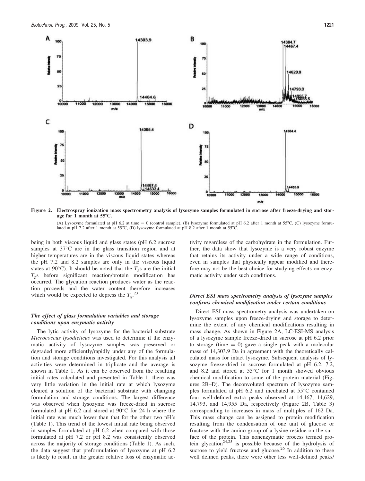

Figure 2. Electrospray ionization mass spectrometry analysis of lysozyme samples formulated in sucrose after freeze-drying and storage for 1 month at  $55^{\circ}$ C.

(A) Lysozyme formulated at pH 6.2 at time = 0 (control sample), (B) lysozyme formulated at pH 6.2 after 1 month at  $55^{\circ}$ C, (C) lysozyme formulated at pH 7.2 after 1 month at  $55^{\circ}$ C, (D) lysozyme formulated at pH 8.2 after 1 month at  $55^{\circ}$ C.

being in both viscous liquid and glass states (pH 6.2 sucrose samples at  $37^{\circ}$ C are in the glass transition region and at higher temperatures are in the viscous liquid states whereas the pH 7.2 and 8.2 samples are only in the viscous liquid states at 90°C). It should be noted that the  $T_g$ s are the initial *T*gs before significant reaction/protein modification has occurred. The glycation reaction produces water as the reaction proceeds and the water content therefore increases which would be expected to depress the  $T_g$ <sup>23</sup>

#### The effect of glass formulation variables and storage conditions upon enzymatic activity

The lytic activity of lysozyme for the bacterial substrate *Micrococcus lysodieticus* was used to determine if the enzymatic activity of lysozyme samples was preserved or degraded more efficiently/rapidly under any of the formulation and storage conditions investigated. For this analysis all activities were determined in triplicate and the average is shown in Table 1. As it can be observed from the resulting initial rates calculated and presented in Table 1, there was very little variation in the initial rate at which lysozyme cleared a solution of the bacterial substrate with changing formulation and storage conditions. The largest difference was observed when lysozyme was freeze-dried in sucrose formulated at pH 6.2 and stored at  $90^{\circ}$ C for 24 h where the initial rate was much lower than that for the other two pH's (Table 1). This trend of the lowest initial rate being observed in samples formulated at pH 6.2 when compared with those formulated at pH 7.2 or pH 8.2 was consistently observed across the majority of storage conditions (Table 1). As such, the data suggest that preformulation of lysozyme at pH 6.2 is likely to result in the greater relative loss of enzymatic activity regardless of the carbohydrate in the formulation. Further, the data show that lysozyme is a very robust enzyme that retains its activity under a wide range of conditions, even in samples that physically appear modified and therefore may not be the best choice for studying effects on enzymatic activity under such conditions.

#### Direct ESI mass spectrometry analysis of lysozyme samples confirms chemical modification under certain conditions

Direct ESI mass spectrometry analysis was undertaken on lysozyme samples upon freeze-drying and storage to determine the extent of any chemical modifications resulting in mass change. As shown in Figure 2A, LC-ESI-MS analysis of a lysozyme sample freeze-dried in sucrose at pH 6.2 prior to storage (time  $= 0$ ) gave a single peak with a molecular mass of 14,303.9 Da in agreement with the theoretically calculated mass for intact lysozyme. Subsequent analysis of lysozyme freeze-dried in sucrose formulated at pH 6.2, 7.2, and 8.2 and stored at  $55^{\circ}$ C for 1 month showed obvious chemical modification to some of the protein material (Figures 2B–D). The deconvoluted spectrum of lysozyme samples formulated at pH  $6.2$  and incubated at  $55^{\circ}$ C contained four well-defined extra peaks observed at 14,467, 14,629, 14,793, and 14,955 Da, respectively (Figure 2B, Table 3) corresponding to increases in mass of multiples of 162 Da. This mass change can be assigned to protein modification resulting from the condensation of one unit of glucose or fructose with the amino group of a lysine residue on the surface of the protein. This nonenzymatic process termed protein glycation<sup>24,25</sup> is possible because of the hydrolysis of sucrose to yield fructose and glucose.<sup>26</sup> In addition to these well defined peaks, there were other less well-defined peaks/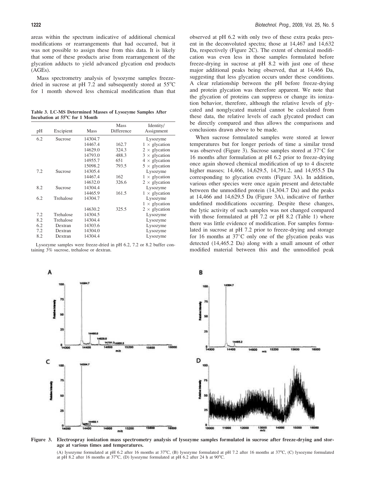areas within the spectrum indicative of additional chemical modifications or rearrangements that had occurred, but it was not possible to assign these from this data. It is likely that some of these products arise from rearrangement of the glycation adducts to yield advanced glycation end products (AGEs).

Mass spectrometry analysis of lysozyme samples freezedried in sucrose at pH 7.2 and subsequently stored at  $55^{\circ}$ C for 1 month showed less chemical modification than that

Table 3. LC-MS Determined Masses of Lysozyme Samples After Incubation at 55°C for 1 Month

|     |           |         | Mass       | Identity/            |
|-----|-----------|---------|------------|----------------------|
| pH  | Excipient | Mass    | Difference | Assignment           |
| 6.2 | Sucrose   | 14304.7 |            | Lysozyme             |
|     |           | 14467.4 | 162.7      | $1 \times$ glycation |
|     |           | 14629.0 | 324.3      | $2 \times$ glycation |
|     |           | 14793.0 | 488.3      | $3 \times$ glycation |
|     |           | 14955.7 | 651        | $4 \times$ glycation |
|     |           | 15098.2 | 793.5      | $5 \times$ glycation |
| 7.2 | Sucrose   | 14305.4 |            | Lysozyme             |
|     |           | 14467.4 | 162        | $1 \times$ glycation |
|     |           | 14632.0 | 326.6      | $2 \times$ glycation |
| 8.2 | Sucrose   | 14304.4 |            | Lysozyme             |
|     |           | 14465.9 | 161.5      | $1 \times$ glycation |
| 6.2 | Trehalose | 14304.7 |            | Lysozyme             |
|     |           |         |            | $1 \times$ glycation |
|     |           | 14630.2 | 325.5      | $2 \times$ glycation |
| 7.2 | Trehalose | 14304.5 |            | Lysozyme             |
| 8.2 | Trehalose | 14304.4 |            | Lysozyme             |
| 6.2 | Dextran   | 14303.6 |            | Lysozyme             |
| 7.2 | Dextran   | 14304.0 |            | Lysozyme             |
| 8.2 | Dextran   | 14304.4 |            | Lysozyme             |

Lysozyme samples were freeze-dried in pH 6.2, 7.2 or 8.2 buffer containing 3% sucrose, trehalose or dextran.

observed at pH 6.2 with only two of these extra peaks present in the deconvoluted spectra; those at 14,467 and 14,632 Da, respectively (Figure 2C). The extent of chemical modification was even less in those samples formulated before freeze-drying in sucrose at pH 8.2 with just one of these major additional peaks being observed, that at 14,466 Da, suggesting that less glycation occurs under these conditions. A clear relationship between the pH before freeze-drying and protein glycation was therefore apparent. We note that the glycation of proteins can suppress or change its ionization behavior, therefore, although the relative levels of glycated and nonglycated material cannot be calculated from these data, the relative levels of each glycated product can be directly compared and thus allows the comparisons and conclusions drawn above to be made.

When sucrose formulated samples were stored at lower temperatures but for longer periods of time a similar trend was observed (Figure 3). Sucrose samples stored at  $37^{\circ}$ C for 16 months after formulation at pH 6.2 prior to freeze-drying once again showed chemical modification of up to 4 discrete higher masses; 14,466, 14,629.5, 14,791.2, and 14,955.5 Da corresponding to glycation events (Figure 3A). In addition, various other species were once again present and detectable between the unmodified protein (14,304.7 Da) and the peaks at 14,466 and 14,629.5 Da (Figure 3A), indicative of further undefined modifications occurring. Despite these changes, the lytic activity of such samples was not changed compared with those formulated at pH 7.2 or pH 8.2 (Table 1) where there was little evidence of modification. For samples formulated in sucrose at pH 7.2 prior to freeze-drying and storage for 16 months at  $37^{\circ}$ C only one of the glycation peaks was detected (14,465.2 Da) along with a small amount of other modified material between this and the unmodified peak



Figure 3. Electrospray ionization mass spectrometry analysis of lysozyme samples formulated in sucrose after freeze-drying and storage at various times and temperatures.

(A) lysozyme formulated at pH 6.2 after 16 months at  $37^{\circ}$ C, (B) lysozyme formulated at pH 7.2 after 16 months at  $37^{\circ}$ C, (C) lysozyme formulated at pH 8.2 after 16 months at  $37^{\circ}$ C, (D) lysozyme formulated at pH 6.2 after 24 h at 90 $^{\circ}$ C.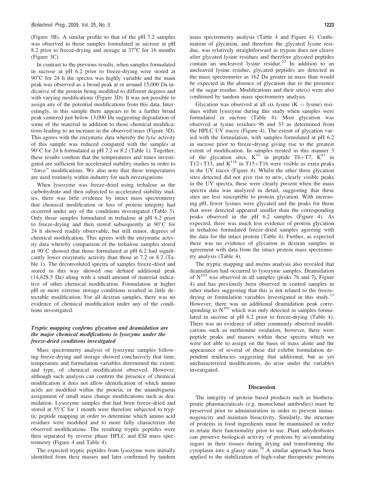(Figure 3B). A similar profile to that of the pH 7.2 samples was observed in those samples formulated in sucrose at pH 8.2 prior to freeze-drying and storage at  $37^{\circ}$ C for 16 months (Figure 3C).

In contrast to the previous results, when samples formulated in sucrose at pH 6.2 prior to freeze-drying were stored at  $90^{\circ}$ C for 24 h the spectra was highly variable and the main peak was observed as a broad peak at or around 15,000 Da indicative of the protein being modified to different degrees and with varying modifications (Figure 3D). It was not possible to assign any of the potential modifications from this data. Interestingly, in this sample there appears to be a further broad peak centered just below 13,000 Da suggesting degradation of some of the material in addition to those chemical modifications leading to an increase in the observed mass (Figure 3D). This agrees with the enzymatic data whereby the lytic activity of this sample was reduced compared with the samples at 90 $\degree$ C for 24 h formulated at pH 7.2 or 8.2 (Table 1). Together, these results confirm that the temperatures and times investigated are sufficient for accelerated stability studies in order to "force" modifications. We also note that these temperatures are used routinely within industry for such investigations.

When lysozyme was freeze-dried using trehalose as the carbohydrate and then subjected to accelerated stability studies, there was little evidence by intact mass spectrometry that chemical modification or loss of protein integrity had occurred under any of the conditions investigated (Table 3). Only those samples formulated in trehalose at pH 6.2 prior to freeze-drying and then stored subsequently at  $90^{\circ}$ C for 24 h showed readily observable, but still minor, degrees of chemical modification. This agrees with the enzymatic activity data whereby comparison of the trehalose samples stored at  $90^{\circ}$ C showed that those formulated at pH 6.2 had significantly lower enzymatic activity than those at 7.2 or 8.2 (Table 1). The deconvoluted spectra of samples freeze-dried and stored in this way showed one defined additional peak (14,628.5 Da) along with a small amount of material indicative of other chemical modification. Formulation at higher pH or more extreme storage conditions resulted in little detectable modification. For all dextran samples, there was no evidence of chemical modification under any of the conditions investigated.

#### Tryptic mapping confirms glycation and deamidation are the major chemical modifications to lysozyme under the freeze-dried conditions investigated

Mass spectrometry analysis of lysozyme samples following freeze-drying and storage showed conclusively that time, temperature and formulation variables determined the extent, and type, of chemical modification observed. However, although such analysis can confirm the presence of chemical modification it does not allow identification of which amino acids are modified within the protein, or the unambiguous assignment of small mass change modifications such as deamidation. Lysozyme samples that had been freeze-dried and stored at  $55^{\circ}$ C for 1 month were therefore subjected to tryptic peptide mapping in order to determine which amino acid residues were modified and to more fully characterize the observed modifications. The resulting tryptic peptides were then separated by reverse phase HPLC and ESI mass spectrometry (Figure 4 and Table 4).

The expected tryptic peptides from lysozyme were initially identified from their masses and later confirmed by tandem mass spectrometry analysis (Table 4 and Figure 4). Confirmation of glycation, and therefore the glycated lysine residue, was relatively straightforward as trypsin does not cleave after glycated lysine residues and therefore glycated peptides contain an uncleaved lysine residue.<sup>27</sup> In addition to an uncleaved lysine residue, glycated peptides are detected in the mass spectrometer as 162 Da greater in mass than would be expected in the absence of glycation due to the presence of the sugar residue. Modifications and their site(s) were also confirmed by tandem mass spectrometry analysis.

Glycation was observed at all six lysine  $(K = l$ ysine) residues within lysozyme during this study when samples were formulated in sucrose (Table 4). Most glycation was observed at lysine residues 96 and 33 as determined from the HPLC UV traces (Figure 4). The extent of glycation varied with the formulation, with samples formulated at pH 6.2 in sucrose prior to freeze-drying giving rise to the greatest extent of modification. In samples treated in this manner 3 of the glycation sites,  $K^{33}$  in peptide T6+T7,  $K^{97}$  in T12+T13, and  $K^{116}$  in T15+T16 were visible as extra peaks in the UV traces (Figure 4). Whilst the other three glycation sites detected did not give rise to new, clearly visible peaks in the UV spectra, these were clearly present when the mass spectra data was analyzed in detail, suggesting that these sites are less susceptible to protein glycation. With increasing pH, fewer lysines were glycated and the peaks for those that were detected appeared smaller than the corresponding peaks observed in the pH 6.2 samples (Figure 4). As expected, there was much less evidence of protein glycation in trehalose formulated freeze-dried samples agreeing with the data for the intact protein (Table 4). Further, as expected there was no evidence of glycation in dextran samples in agreement with data from the intact protein mass spectrometry analysis (Table 4).

The tryptic mapping and ms/ms analysis also revealed that deamidation had occurred to lysozyme samples. Deamidation of  $N^{103}$  was observed in all samples (peaks 7h and 7j, Figure 4) and has previously been observed in control samples in other studies suggesting that this is not related to the freezedrying or formulation variables investigated in this study.<sup>13</sup> However, there was an additional deamidation peak corresponding to  $N^{103}$  which was only detected in samples formulated in sucrose at pH 6.2 prior to freeze-drying (Table 4). There was no evidence of other commonly observed modifications such as methionine oxidation, however, there were peptide peaks and masses within these spectra which we were not able to assign on the basis of mass alone and the appearance of several of these did exhibit formulation dependent tendencies suggesting that additional, but as yet uncharacterized modifications, do arise under the variables investigated.

#### Discussion

The integrity of protein based products such as biotherapeutic pharmaceuticals (e.g. monoclonal antibodies) must be preserved prior to administration in order to prevent immunogenicity and maintain bioactivity. Similarly, the structure of proteins in food ingredients must be maintained in order to retain their functionality prior to use. Plant anhydrobiotes can preserve biological activity of proteins by accumulating sugars in their tissues during drying and transforming the cytoplasm into a glassy state.<sup>28</sup> A similar approach has been applied to the stabilization of high-value therapeutic proteins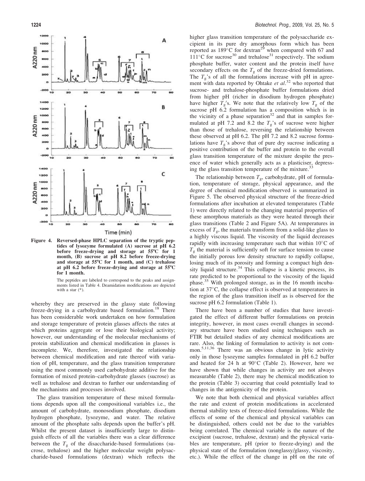

Figure 4. Reversed-phase HPLC separation of the tryptic peptides of lysozyme formulated (A) sucrose at pH 6.2 before freeze-drying and storage at  $55^{\circ}$ C for 1 month, (B) sucrose at pH 8.2 before freeze-drying and storage at  $55^{\circ}$ C for 1 month, and (C) trehalose at pH 6.2 before freeze-drying and storage at  $55^{\circ}$ C for 1 month.

The peptides are labeled to correspond to the peaks and assignments listed in Table 4. Deamidation modifications are depicted with a star (\*).

whereby they are preserved in the glassy state following freeze-drying in a carbohydrate based formulation.<sup>18</sup> There has been considerable work undertaken on how formulation and storage temperature of protein glasses affects the rates at which proteins aggregate or lose their biological activity; however, our understanding of the molecular mechanisms of protein stabilization and chemical modification in glasses is incomplete. We, therefore, investigated the relationship between chemical modification and rate thereof with variation of pH, temperature, and the glass transition temperature using the most commonly used carbohydrate additive for the formation of mixed protein–carbohydrate glasses (sucrose) as well as trehalose and dextran to further our understanding of the mechanisms and processes involved.

The glass transition temperature of these mixed formulations depends upon all the compositional variables i.e., the amount of carbohydrate, monosodium phosphate, disodium hydrogen phosphate, lysozyme, and water. The relative amount of the phosphate salts depends upon the buffer's pH. Whilst the present dataset is insufficiently large to distinguish effects of all the variables there was a clear difference between the  $T<sub>g</sub>$  of the disaccharide-based formulations (sucrose, trehalose) and the higher molecular weight polysaccharide-based formulations (dextran) which reflects the

higher glass transition temperature of the polysaccharide excipient in its pure dry amorphous form which has been reported as  $189^{\circ}$ C for dextran<sup>29</sup> when compared with 67 and  $111^{\circ}$ C for sucrose<sup>30</sup> and trehalose<sup>31</sup> respectively. The sodium phosphate buffer, water content and the protein itself have secondary effects on the  $T<sub>g</sub>$  of the freeze-dried formulations. The  $T_g$ 's of all the formulations increase with pH in agreement with data reported by Ohtake *et al*. <sup>32</sup> who reported that sucrose- and trehalose-phosphate buffer formulations dried from higher pH (richer in disodium hydrogen phosphate) have higher  $T_g$ 's. We note that the relatively low  $T_g$  of the sucrose pH 6.2 formulation has a composition which is in the vicinity of a phase separation<sup>32</sup> and that in samples formulated at pH 7.2 and 8.2 the  $T_g$ 's of sucrose were higher than those of trehalose, reversing the relationship between these observed at pH 6.2. The pH 7.2 and 8.2 sucrose formulations have  $T_g$ 's above that of pure dry sucrose indicating a positive contribution of the buffer and protein to the overall glass transition temperature of the mixture despite the presence of water which generally acts as a plasticiser, depressing the glass transition temperature of the mixture.<sup>33</sup>

The relationship between  $T_{\rm g}$ , carbohydrate, pH of formulation, temperature of storage, physical appearance, and the degree of chemical modification observed is summarized in Figure 5. The observed physical structure of the freeze-dried formulations after incubation at elevated temperatures (Table 1) were directly related to the changing material properties of these amorphous materials as they were heated through their glass transitions (Table 2 and Figure 5A). At temperatures in excess of  $T_{g}$ , the materials transform from a solid-like glass to a highly viscous liquid. The viscosity of the liquid decreases rapidly with increasing temperature such that within  $10^{\circ}$ C of *T*g the material is sufficiently soft for surface tension to cause the initially porous low density structure to rapidly collapse, losing much of its porosity and forming a compact high density liquid structure.<sup>34</sup> This collapse is a kinetic process, its rate predicted to be proportional to the viscosity of the liquid phase.<sup>35</sup> With prolonged storage, as in the 16 month incubation at  $37^{\circ}$ C, the collapse effect is observed at temperatures in the region of the glass transition itself as is observed for the sucrose pH 6.2 formulation (Table 1).

There have been a number of studies that have investigated the effect of different buffer formulations on protein integrity, however, in most cases overall changes in secondary structure have been studied using techniques such as FTIR but detailed studies of any chemical modifications are rare. Also, the linking of formulation to activity is not common.5,11,36 There was an obvious change in lytic activity only in those lysozyme samples formulated in pH 6.2 buffer and heated for 24 h at  $90^{\circ}$ C (Table 2). However, here we have shown that while changes in activity are not always measurable (Table 2), there may be chemical modification to the protein (Table 3) occurring that could potentially lead to changes in the antigenicity of the protein.

We note that both chemical and physical variables affect the rate and extent of protein modifications in accelerated thermal stability tests of freeze-dried formulations. While the effects of some of the chemical and physical variables can be distinguished, others could not be due to the variables being correlated. The chemical variable is the nature of the excipient (sucrose, trehalose, dextran) and the physical variables are temperature, pH (prior to freeze-drying) and the physical state of the formulation (nonglassy/glassy, viscosity, etc.). While the effect of the change in pH on the rate of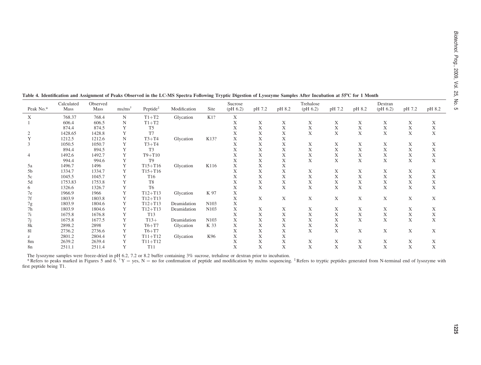|               | Calculated | Observed |                              |                      |              |                   | Sucrose  |                           |             | Trehalose   |             |             | Dextran     |             |             |
|---------------|------------|----------|------------------------------|----------------------|--------------|-------------------|----------|---------------------------|-------------|-------------|-------------|-------------|-------------|-------------|-------------|
| Peak No.*     | Mass       | Mass     | $\text{ms}$ /ms <sup>†</sup> | Peptide <sup>‡</sup> | Modification | Site              | (pH 6.2) | pH 7.2                    | pH 8.2      | (pH 6.2)    | pH 7.2      | pH 8.2      | (pH 6.2)    | pH 7.2      | pH 8.2      |
| X             | 768.37     | 768.4    | N                            | $T1+T2$              | Glycation    | K1?               | X        |                           |             |             |             |             |             |             |             |
|               | 606.4      | 606.5    | $\mathbf N$                  | $T1+T2$              |              |                   | X        | X                         | $\mathbf X$ | X           | X           | X           | X           | X           | X           |
|               | 874.4      | 874.5    | Y                            | T <sub>5</sub>       |              |                   | X        | X                         | $\mathbf X$ | $\mathbf X$ | $\mathbf X$ | $\mathbf X$ | X           | X           | $\mathbf X$ |
|               | 1428.65    | 1428.8   | Y                            | T <sub>7</sub>       |              |                   | X        | X                         | X           | X           | $\mathbf X$ | X           | X           | $\mathbf X$ | $\mathbf X$ |
| Y             | 1212.5     | 1212.6   | $\mathbf N$                  | $T3+T4$              | Glycation    | K13?              | X        | $\boldsymbol{\mathrm{X}}$ | $\mathbf X$ |             |             |             |             |             |             |
| $\mathcal{E}$ | 1050.5     | 1050.7   | Y                            | $T3+T4$              |              |                   | X        | X                         | $\mathbf X$ | X           | X           | X           | Χ           | X           | X           |
|               | 894.4      | 894.5    | Y                            | T <sub>3</sub>       |              |                   | X        | X                         | X           | X           | X           | X           | X           | X           | X           |
|               | 1492.6     | 1492.7   | Y                            | $T9+T10$             |              |                   | X        | $\boldsymbol{\mathrm{X}}$ | $\mathbf X$ | X           | X           | $\mathbf X$ | X           | X           | $\mathbf X$ |
|               | 994.4      | 994.6    | Y                            | T <sub>9</sub>       |              |                   | X        | X                         | $\mathbf X$ | X           | X           | $\mathbf X$ | X           | $\mathbf X$ | $\mathbf X$ |
| 5a            | 1496.7     | 1496     | Y                            | $T15 + T16$          | Glycation    | K116              | X        | X                         | X           |             |             |             |             |             |             |
| 5b            | 1334.7     | 1334.7   | Y                            | $T15 + T16$          |              |                   | X        | X                         | $\mathbf X$ | X           | X           | X           | Χ           | X           | X           |
| 5c            | 1045.5     | 1045.7   | Y                            | T <sub>16</sub>      |              |                   | X        | X                         | $\mathbf X$ | X           | $\mathbf X$ | X           | X           | X           | X           |
| 5d            | 1753.83    | 1753.8   | Y                            | T <sub>8</sub>       |              |                   | X        | X                         | $\mathbf X$ | X           | X           | $\mathbf X$ | X           | X           | $\mathbf X$ |
|               | 1326.6     | 1326.7   | Y                            | T <sub>6</sub>       |              |                   | X        | X                         | $\mathbf X$ | X           | X           | $\mathbf X$ | X           | X           | X           |
| 7e            | 1966.9     | 1966     | Y                            | $T12 + T13$          | Glycation    | K 97              | X        |                           |             |             |             |             |             |             |             |
| 7f            | 1803.9     | 1803.8   | Y                            | $T12 + T13$          |              |                   | X        | X                         | X           | X           | X           | X           | X           | X           | X           |
|               | 1803.9     | 1804.6   | Y                            | $T12 + T13$          | Deamidation  | N <sub>10</sub> 3 | X        |                           |             |             |             |             |             |             |             |
| 7g<br>7h      | 1803.9     | 1804.6   | Y                            | $T12 + T13$          | Deamidation  | N103              | X        | X                         | $\mathbf X$ | X           | X           | X           | Χ           | X           | $\mathbf X$ |
| 7i            | 1675.8     | 1676.8   | Y                            | T13                  |              |                   | X        | $\boldsymbol{\mathrm{X}}$ | X           | X           | X           | X           | X           | $\mathbf X$ | $\mathbf X$ |
| 7j            | 1675.8     | 1677.5   | Y                            | $T13+$               | Deamidation  | N <sub>10</sub> 3 | X        | X                         | $\mathbf X$ | X           | X           | X           | $\mathbf X$ | X           | X           |
| 8k            | 2898.2     | 2898     | Y                            | $T6+T7$              | Glycation    | K 33              | X        | X                         | $\mathbf X$ | X           | X           |             |             |             |             |
| 81            | 2736.2     | 2736.6   | Y                            | $T6+T7$              |              |                   | X        | $\boldsymbol{\mathrm{X}}$ | $\mathbf X$ | X           | $\mathbf X$ | X           | X           | $\mathbf X$ | $\mathbf X$ |
| z             | 2801.2     | 2804.4   | Y                            | $T11 + T12$          | Glycation    | K96               | X        | X                         | X           |             |             |             |             |             |             |
| 8m            | 2639.2     | 2639.4   | Y                            | $T11 + T12$          |              |                   | X        | X                         | $\mathbf X$ | X           | X           | X           | X           | X           | X           |
| 8n            | 2511.1     | 2511.4   | Y                            | T11                  |              |                   | X        | X                         | $\mathbf X$ | X           | X           | X           | X           | X           | $\mathbf X$ |

Table 4. Identification and Assignment of Peaks Observed in the LC-MS Spectra Following Tryptic Digestion of Lysozyme Samples After Incubation at 55°C for 1 Month

The lysozyme samples were freeze-dried in pH 6.2, 7.2 or 8.2 buffer containing 3% sucrose, trehalose or dextran prior to incubation.<br>\* Refers to peaks marked in Figures 5 and 6. <sup>†</sup> Y = yes, N = no for confirmation of pep first peptide being T1.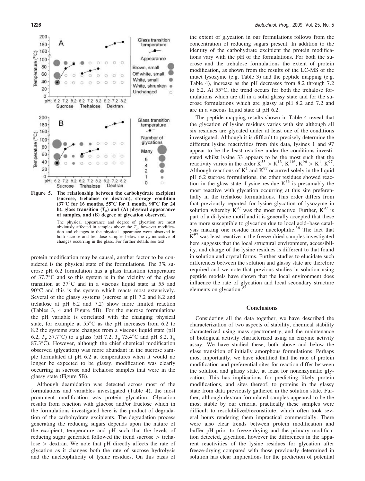

Figure 5. The relationship between the carbohydrate excipient (sucrose, trehalose or dextran), storage condition  $(37^{\circ}$ C for 16 months,  $55^{\circ}$ C for 1 month,  $90^{\circ}$ C for 24 h), glass transition  $(T_g)$  and (A) physical appearance of samples, and (B) degree of glycation observed.

The physical appearance and degree of glycation are most obviously affected in samples above the *Tg*, however modification and changes to the physical appearance were observed in both sucrose and trehalose samples below the  $T_g$  indicative of changes occurring in the glass. For further details see text.

protein modification may be causal, another factor to be considered is the physical state of the formulations. The 3% sucrose pH 6.2 formulation has a glass transition temperature of  $37.7^{\circ}$ C and so this system is in the vicinity of the glass transition at  $37^{\circ}$ C and in a viscous liquid state at 55 and  $90^{\circ}$ C and this is the system which reacts most extensively. Several of the glassy systems (sucrose at pH 7.2 and 8.2 and trehalose at pH 6.2 and 7.2) show more limited reaction (Tables 3, 4 and Figure 5B). For the sucrose formulations the pH variable is correlated with the changing physical state, for example at  $55^{\circ}$ C as the pH increases from 6.2 to 8.2 the systems state changes from a viscous liquid state (pH 6.2,  $T_g$  37.7°C) to a glass (pH 7.2,  $T_g$  75.4°C and pH 8.2,  $T_g$ 87.3 $^{\circ}$ C). However, although the chief chemical modification observed (glycation) was more abundant in the sucrose sample formulated at pH 6.2 at temperatures when it would no longer be expected to be glassy, modification was clearly occurring in sucrose and trehalose samples that were in the glassy state (Figure 5B).

Although deamidation was detected across most of the formulations and variables investigated (Table 4), the most prominent modification was protein glycation. Glycation results from reaction with glucose and/or fructose which in the formulations investigated here is the product of degradation of the carbohydrate excipients. The degradation process generating the reducing sugars depends upon the nature of the excipient, temperature and pH such that the levels of reducing sugar generated followed the trend sucrose  $>$  treha $lose$   $>$  dextran. We note that pH directly affects the rate of glycation as it changes both the rate of sucrose hydrolysis and the nucleophilicity of lysine residues. On this basis of

the extent of glycation in our formulations follows from the concentration of reducing sugars present. In addition to the identity of the carbohydrate excipient the protein modifications vary with the pH of the formulations. For both the sucrose and the trehalose formulations the extent of protein modification, as shown from the results of the LC-MS of the intact lysozyme (e.g. Table 3) and the peptide mapping (e.g. Table 4), increase as the pH decreases from 8.2 through 7.2 to 6.2. At  $55^{\circ}$ C, the trend occurs for both the trehalose formulations which are all in a solid glassy state and for the sucrose formulations which are glassy at pH 8.2 and 7.2 and are in a viscous liquid state at pH 6.2.

The peptide mapping results shown in Table 4 reveal that the glycation of lysine residues varies with site although all six residues are glycated under at least one of the conditions investigated. Although it is difficult to precisely determine the different lysine reactivities from this data, lysines 1 and 97 appear to be the least reactive under the conditions investigated whilst lysine 33 appears to be the most such that the reactivity varies in the order  $K^{33} > K^{13}$ ,  $K^{116}$ ,  $K^{96} > K^1$ ,  $K^{97}$ . Although reactions of  $K^1$  and  $K^{97}$  occurred solely in the liquid pH 6.2 sucrose formulations, the other residues showed reaction in the glass state. Lysine residue  $K^{33}$  is presumably the most reactive with glycation occurring at this site preferentially in the trehalose formulations. This order differs from that previously reported for lysine glycation of lysozyme in solution whereby  $K^{97}$  was the most reactive. Further,  $K^{97}$  is part of a di-lysine motif and it is generally accepted that these are more susceptible to glycation due to local acid–base catalysis making one residue more nucelophilic.<sup>36</sup> The fact that  $K^{97}$  was least reactive in the freeze-dried samples investigated here suggests that the local structural environment, accessibility, and charge of the lysine residues is different to that found in solution and crystal forms. Further studies to elucidate such differences between the solution and glassy state are therefore required and we note that previous studies in solution using peptide models have shown that the local environment does influence the rate of glycation and local secondary structure elements on glycation.

#### **Conclusions**

Considering all the data together, we have described the characterization of two aspects of stability, chemical stability characterized using mass spectrometry, and the maintenance of biological activity characterized using an enzyme activity assay. We have studied these, both above and below the glass transition of initially amorphous formulations. Perhaps most importantly, we have identified that the rate of protein modification and preferential sites for reaction differ between the solution and glassy state, at least for nonenzymatic glycation. This has implications for predicting likely protein modifications, and sites thereof, to proteins in the glassy state from data previously gathered in the solution state. Further, although dextran formulated samples appeared to be the most stable by our criteria, practically these samples were difficult to resolubilized/reconstitute, which often took several hours rendering them impractical commercially. There were also clear trends between protein modification and buffer pH prior to freeze-drying and the primary modification detected, glycation, however the differences in the apparent reactivities of the lysine residues for glycation after freeze-drying compared with those previously determined in solution has clear implications for the prediction of potential